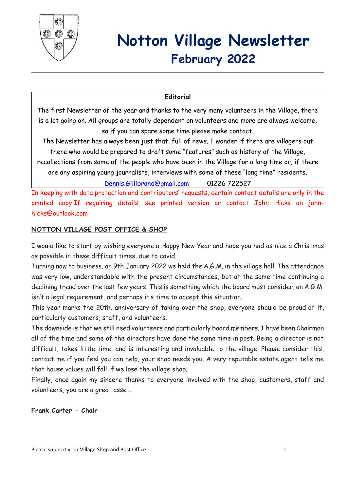

# **Notton Village Newsletter February 2022**

#### **Editorial**

The first Newsletter of the year and thanks to the very many volunteers in the Village, there is a lot going on. All groups are totally dependent on volunteers and more are always welcome, so if you can spare some time please make contact.

The Newsletter has always been just that, full of news. I wonder if there are villagers out there who would be prepared to draft some "features" such as history of the Village,

recollections from some of the people who have been in the Village for a long time or, if there are any aspiring young journalists, interviews with some of these "long time" residents.

[Dennis.Gillibrand@gmail.com](mailto:Dennis.Gillibrand@gmail.com) 01226 722527

In keeping with data protection and contributors' requests, certain contact details are only in the printed copy.If requiring details, see printed version or contact John Hicks on johnhicks@outlook.com

#### **NOTTON VILLAGE POST OFFICE & SHOP**

I would like to start by wishing everyone a Happy New Year and hope you had as nice a Christmas as possible in these difficult times, due to covid.

Turning now to business, on 9th January 2022 we held the A.G.M. in the village hall. The attendance was very low, understandable with the present circumstances, but at the same time continuing a declining trend over the last few years. This is something which the board must consider, an A.G.M. isn't a legal requirement, and perhaps it's time to accept this situation.

This year marks the 20th. anniversary of taking over the shop, everyone should be proud of it, particularly customers, staff, and volunteers.

The downside is that we still need volunteers and particularly board members. I have been Chairman all of the time and some of the directors have done the same time in post. Being a director is not difficult, takes little time, and is interesting and invaluable to the village. Please consider this, contact me if you feel you can help, your shop needs you. A very reputable estate agent tells me that house values will fall if we lose the village shop.

Finally, once again my sincere thanks to everyone involved with the shop, customers, staff and volunteers, you are a great asset.

**Frank Carter - Chair**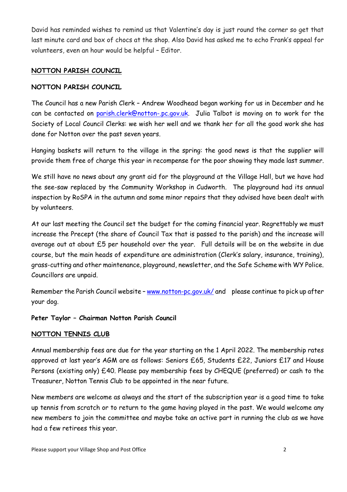David has reminded wishes to remind us that Valentine's day is just round the corner so get that last minute card and box of chocs at the shop. Also David has asked me to echo Frank's appeal for volunteers, even an hour would be helpful – Editor.

#### **NOTTON PARISH COUNCIL**

#### **NOTTON PARISH COUNCIL**

The Council has a new Parish Clerk – Andrew Woodhead began working for us in December and he can be contacted on [parish.clerk@notton-.pc.gov.uk.](mailto:parish.clerk@notton-parish.pc.gov.uk) Julia Talbot is moving on to work for the Society of Local Council Clerks: we wish her well and we thank her for all the good work she has done for Notton over the past seven years.

Hanging baskets will return to the village in the spring: the good news is that the supplier will provide them free of charge this year in recompense for the poor showing they made last summer.

We still have no news about any grant aid for the playground at the Village Hall, but we have had the see-saw replaced by the Community Workshop in Cudworth. The playground had its annual inspection by RoSPA in the autumn and some minor repairs that they advised have been dealt with by volunteers.

At our last meeting the Council set the budget for the coming financial year. Regrettably we must increase the Precept (the share of Council Tax that is passed to the parish) and the increase will average out at about £5 per household over the year. Full details will be on the website in due course, but the main heads of expenditure are administration (Clerk's salary, insurance, training), grass-cutting and other maintenance, playground, newsletter, and the Safe Scheme with WY Police. Councillors are unpaid.

Remember the Parish Council website - [www.notton-pc.gov.uk/](http://www.notton-pc.gov.uk/) and please continue to pick up after your dog.

# **Peter Taylor – Chairman Notton Parish Council**

#### **NOTTON TENNIS CLUB**

Annual membership fees are due for the year starting on the 1 April 2022. The membership rates approved at last year's AGM are as follows: Seniors £65, Students £22, Juniors £17 and House Persons (existing only) £40. Please pay membership fees by CHEQUE (preferred) or cash to the Treasurer, Notton Tennis Club to be appointed in the near future.

New members are welcome as always and the start of the subscription year is a good time to take up tennis from scratch or to return to the game having played in the past. We would welcome any new members to join the committee and maybe take an active part in running the club as we have had a few retirees this year.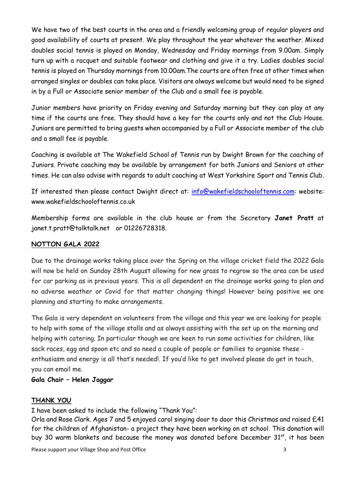We have two of the best courts in the area and a friendly welcoming group of regular players and good availability of courts at present. We play throughout the year whatever the weather. Mixed doubles social tennis is played on Monday, Wednesday and Friday mornings from 9.00am. Simply turn up with a racquet and suitable footwear and clothing and give it a try. Ladies doubles social tennis is played on Thursday mornings from 10.00am.The courts are often free at other times when arranged singles or doubles can take place. Visitors are always welcome but would need to be signed in by a Full or Associate senior member of the Club and a small fee is payable.

Junior members have priority on Friday evening and Saturday morning but they can play at any time if the courts are free. They should have a key for the courts only and not the Club House. Juniors are permitted to bring guests when accompanied by a Full or Associate member of the club and a small fee is payable.

Coaching is available at The Wakefield School of Tennis run by Dwight Brown for the coaching of Juniors. Private coaching may be available by arrangement for both Juniors and Seniors at other times. He can also advise with regards to adult coaching at West Yorkshire Sport and Tennis Club.

If interested then please contact Dwight direct at: [info@wakefieldschooloftennis.com:](mailto:info@wakefieldschooloftennis.com) website: www.wakefieldschooloftennis.co.uk

Membership forms are available in the club house or from the Secretary **Janet Pratt** at janet.t.pratt@talktalk.net or 01226728318.

#### **NOTTON GALA 2022**

Due to the drainage works taking place over the Spring on the village cricket field the 2022 Gala will now be held on Sunday 28th August allowing for new grass to regrow so the area can be used for car parking as in previous years. This is all dependent on the drainage works going to plan and no adverse weather or Covid for that matter changing things! However being positive we are planning and starting to make arrangements.

The Gala is very dependent on volunteers from the village and this year we are looking for people to help with some of the village stalls and as always assisting with the set up on the morning and helping with catering. In particular though we are keen to run some activities for children, like sack races, egg and spoon etc and so need a couple of people or families to organise these enthusiasm and energy is all that's needed!. If you'd like to get involved please do get in touch, you can email me.

#### **Gala Chair – Helen Jaggar**

#### **THANK YOU**

I have been asked to include the following "Thank You":

Orla and Rose Clark. Ages 7 and 5 enjoyed carol singing door to door this Christmas and raised £41 for the children of Afghanistan- a project they have been working on at school. This donation will buy 30 warm blankets and because the money was donated before December 31<sup>st</sup>, it has been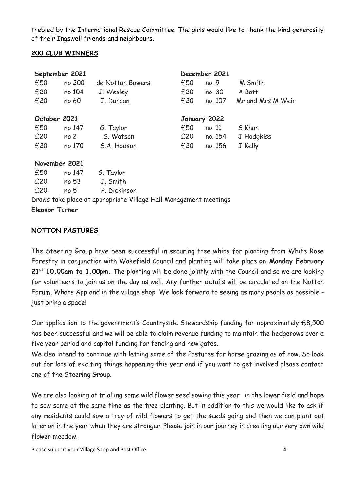trebled by the International Rescue Committee. The girls would like to thank the kind generosity of their Ingswell friends and neighbours.

#### **200 CLUB WINNERS**

|              | September 2021  |                  | December 2021 |              |                   |
|--------------|-----------------|------------------|---------------|--------------|-------------------|
| £50          | no 200          | de Notton Bowers | £50           | no. 9        | M Smith           |
| £20          | no 104          | J. Wesley        | £20           | no. 30       | A Bott            |
| £20          | no 60           | J. Duncan        | £20           | no. 107      | Mr and Mrs M Weir |
| October 2021 |                 |                  |               | January 2022 |                   |
| £50          | no 147          | G. Taylor        | £50           | no. 11       | S Khan            |
| £20          | no <sub>2</sub> | S. Watson        | £20           | no. 154      | J Hodgkiss        |
| £20          | no 170          | S.A. Hodson      | £20           | no. 156      | J Kelly           |
|              | November 2021   |                  |               |              |                   |
| £50          | no 147          | G. Taylor        |               |              |                   |
| £20          | no 53           | J. Smith         |               |              |                   |

£20 no 5 P. Dickinson Draws take place at appropriate Village Hall Management meetings

#### **Eleanor Turner**

#### **NOTTON PASTURES**

The Steering Group have been successful in securing tree whips for planting from White Rose Forestry in conjunction with Wakefield Council and planting will take place **on Monday February 21st 10.00am to 1.00pm.** The planting will be done jointly with the Council and so we are looking for volunteers to join us on the day as well. Any further details will be circulated on the Notton Forum, Whats App and in the village shop. We look forward to seeing as many people as possible just bring a spade!

Our application to the government's Countryside Stewardship funding for approximately £8,500 has been successful and we will be able to claim revenue funding to maintain the hedgerows over a five year period and capital funding for fencing and new gates.

We also intend to continue with letting some of the Pastures for horse grazing as of now. So look out for lots of exciting things happening this year and if you want to get involved please contact one of the Steering Group.

We are also looking at trialling some wild flower seed sowing this year in the lower field and hope to sow some at the same time as the tree planting. But in addition to this we would like to ask if any residents could sow a tray of wild flowers to get the seeds going and then we can plant out later on in the year when they are stronger. Please join in our journey in creating our very own wild flower meadow.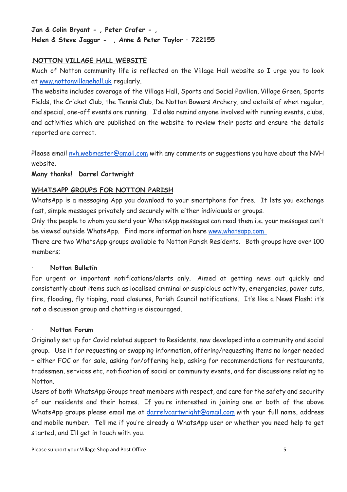# **Jan & Colin Bryant - , Peter Crafer - , Helen & Steve Jaggar - , Anne & Peter Taylor – 722155**

### .**NOTTON VILLAGE HALL WEBSITE**

Much of Notton community life is reflected on the Village Hall website so I urge you to look at [www.nottonvillagehall.uk](http://www.nottonvillagehall.uk/) regularly.

The website includes coverage of the Village Hall, Sports and Social Pavilion, Village Green, Sports Fields, the Cricket Club, the Tennis Club, De Notton Bowers Archery, and details of when regular, and special, one-off events are running. I'd also remind anyone involved with running events, clubs, and activities which are published on the website to review their posts and ensure the details reported are correct.

Please email [nvh.webmaster@gmail.com](mailto:nvh.webmaster@gmail.com) with any comments or suggestions you have about the NVH website.

#### **Many thanks! Darrel Cartwright**

#### **WHATSAPP GROUPS FOR NOTTON PARISH**

WhatsApp is a messaging App you download to your smartphone for free. It lets you exchange fast, simple messages privately and securely with either individuals or groups.

Only the people to whom you send your WhatsApp messages can read them i.e. your messages can't be viewed outside WhatsApp. Find more information here [www.whatsapp.com](http://www.whatsapp.com/)

There are two WhatsApp groups available to Notton Parish Residents. Both groups have over 100 members;

#### · **Notton Bulletin**

For urgent or important notifications/alerts only. Aimed at getting news out quickly and consistently about items such as localised criminal or suspicious activity, emergencies, power cuts, fire, flooding, fly tipping, road closures, Parish Council notifications. It's like a News Flash; it's not a discussion group and chatting is discouraged.

#### · **Notton Forum**

Originally set up for Covid related support to Residents, now developed into a community and social group. Use it for requesting or swapping information, offering/requesting items no longer needed – either FOC or for sale, asking for/offering help, asking for recommendations for restaurants, tradesmen, services etc, notification of social or community events, and for discussions relating to Notton.

Users of both WhatsApp Groups treat members with respect, and care for the safety and security of our residents and their homes. If you're interested in joining one or both of the above WhatsApp groups please email me at [darrelvcartwright@gmail.com](mailto:darrelvcartwright@gmail.com) with your full name, address and mobile number. Tell me if you're already a WhatsApp user or whether you need help to get started, and I'll get in touch with you.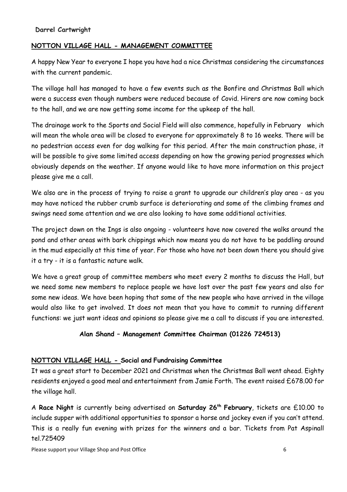#### **NOTTON VILLAGE HALL - MANAGEMENT COMMITTEE**

A happy New Year to everyone I hope you have had a nice Christmas considering the circumstances with the current pandemic.

The village hall has managed to have a few events such as the Bonfire and Christmas Ball which were a success even though numbers were reduced because of Covid. Hirers are now coming back to the hall, and we are now getting some income for the upkeep of the hall.

The drainage work to the Sports and Social Field will also commence, hopefully in February which will mean the whole area will be closed to everyone for approximately 8 to 16 weeks. There will be no pedestrian access even for dog walking for this period. After the main construction phase, it will be possible to give some limited access depending on how the growing period progresses which obviously depends on the weather. If anyone would like to have more information on this project please give me a call.

We also are in the process of trying to raise a grant to upgrade our children's play area - as you may have noticed the rubber crumb surface is deteriorating and some of the climbing frames and swings need some attention and we are also looking to have some additional activities.

The project down on the Ings is also ongoing - volunteers have now covered the walks around the pond and other areas with bark chippings which now means you do not have to be paddling around in the mud especially at this time of year. For those who have not been down there you should give it a try - it is a fantastic nature walk.

We have a great group of committee members who meet every 2 months to discuss the Hall, but we need some new members to replace people we have lost over the past few years and also for some new ideas. We have been hoping that some of the new people who have arrived in the village would also like to get involved. It does not mean that you have to commit to running different functions: we just want ideas and opinions so please give me a call to discuss if you are interested.

#### **Alan Shand – Management Committee Chairman (01226 724513)**

#### **NOTTON VILLAGE HALL - Social and Fundraising Committee**

It was a great start to December 2021 and Christmas when the Christmas Ball went ahead. Eighty residents enjoyed a good meal and entertainment from Jamie Forth. The event raised £678.00 for the village hall.

A **Race Night** is currently being advertised on **Saturday 26th February**, tickets are £10.00 to include supper with additional opportunities to sponsor a horse and jockey even if you can't attend. This is a really fun evening with prizes for the winners and a bar. Tickets from Pat Aspinall tel.725409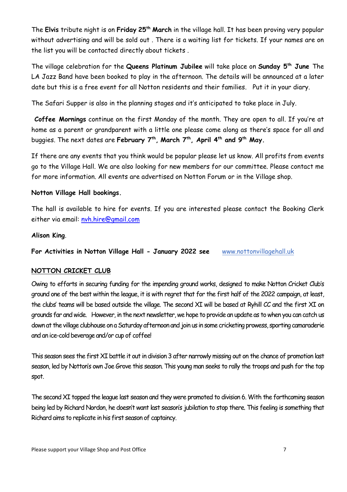The **Elvis** tribute night is on **Friday 25th March** in the village hall. It has been proving very popular without advertising and will be sold out . There is a waiting list for tickets. If your names are on the list you will be contacted directly about tickets .

The village celebration for the **Queens Platinum Jubilee** will take place on **Sunday 5th June** The LA Jazz Band have been booked to play in the afternoon. The details will be announced at a later date but this is a free event for all Notton residents and their families. Put it in your diary.

The Safari Supper is also in the planning stages and it's anticipated to take place in July.

**Coffee Mornings** continue on the first Monday of the month. They are open to all. If you're at home as a parent or grandparent with a little one please come along as there's space for all and buggies. The next dates are **February 7th , March 7th, April 4th and 9th May.**

If there are any events that you think would be popular please let us know. All profits from events go to the Village Hall. We are also looking for new members for our committee. Please contact me for more information. All events are advertised on Notton Forum or in the Village shop.

#### **Notton Village Hall bookings.**

The hall is available to hire for events. If you are interested please contact the Booking Clerk either via email: [nvh.hire@gmail.com](mailto:nvh.hire@gmail.com)

#### **Alison King**.

**For Activities in Notton Village Hall - January 2022 see** [www.nottonvillagehall.uk](http://www.nottonvillagehall.uk/)

#### **NOTTON CRICKET CLUB**

Owing to efforts in securing funding for the impending ground works, designed to make Notton Cricket Club's ground one of the best within the league, it is with regret that for the first half of the 2022 campaign, at least, the clubs' teams will be based outside the village. The second XI will be based at Ryhill CC and the first XI on grounds far and wide. However, in the next newsletter, we hope to provide an update as to when you can catch us down at the village clubhouse on a Saturday afternoon and join us in some cricketing prowess, sporting camaraderie and an ice-cold beverage and/or cup of coffee!

This season sees the first XI battle it out in division 3 after narrowly missing out on the chance of promotion last season, led by Notton's own Joe Grove this season. This young man seeks to rally the troops and push for the top spot.

The second XI topped the league last season and they were promoted to division 6. With the forthcoming season being led by Richard Nordon, he doesn't want last season's jubilation to stop there. This feeling is something that Richard aims to replicate in his first season of captaincy.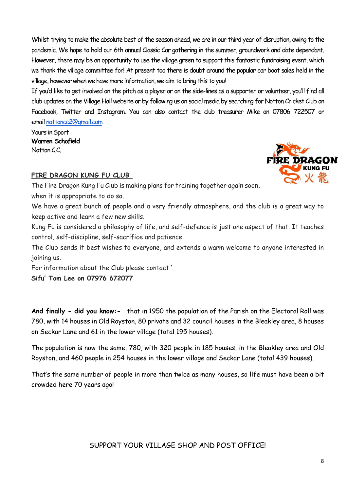Whilst trying to make the absolute best of the season ahead, we are in our third year of disruption, owing to the pandemic. We hope to hold our 6th annual Classic Car gathering in the summer, groundwork and date dependant. However, there may be an opportunity to use the village green to support this fantastic fundraising event, which we thank the village committee for! At present too there is doubt around the popular car boot sales held in the village, however when we have more information, we aim to bring this to you!

If you'd like to get involved on the pitch as a player or on the side-lines as a supporter or volunteer, you'll find all club updates on the Village Hall website or by following us on social media by searching for Notton Cricket Club on Facebook, Twitter and Instagram. You can also contact the club treasurer Mike on 07806 722507 or email [nottoncc2@gmail.com.](mailto:nottoncc2@gmail.com)

Yours in Sport **Warren Schofield** Notton C.C.



# **FIRE DRAGON KUNG FU CLUB**

The Fire Dragon Kung Fu Club is making plans for training together again soon, when it is appropriate to do so.

We have a great bunch of people and a very friendly atmosphere, and the club is a great way to keep active and learn a few new skills.

Kung Fu is considered a philosophy of life, and self-defence is just one aspect of that. It teaches control, self-discipline, self-sacrifice and patience.

The Club sends it best wishes to everyone, and extends a warm welcome to anyone interested in joining us.

For information about the Club please contact '

**Sifu' Tom Lee on 07976 672077**

**And finally - did you know:-** that in 1950 the population of the Parish on the Electoral Roll was 780, with 14 houses in Old Royston, 80 private and 32 council houses in the Bleakley area, 8 houses on Seckar Lane and 61 in the lower village (total 195 houses).

The population is now the same, 780, with 320 people in 185 houses, in the Bleakley area and Old Royston, and 460 people in 254 houses in the lower village and Seckar Lane (total 439 houses).

That's the same number of people in more than twice as many houses, so life must have been a bit crowded here 70 years ago!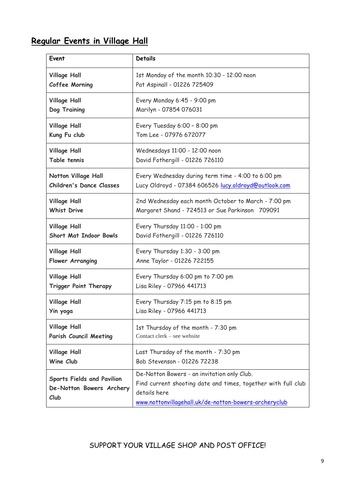# **Regular Events in Village Hall**

| Event                                                                 | <b>Details</b>                                                                                                                                                                        |
|-----------------------------------------------------------------------|---------------------------------------------------------------------------------------------------------------------------------------------------------------------------------------|
| <b>Village Hall</b>                                                   | 1st Monday of the month 10:30 - 12:00 noon                                                                                                                                            |
| Coffee Morning                                                        | Pat Aspinall - 01226 725409                                                                                                                                                           |
| <b>Village Hall</b>                                                   | Every Monday 6:45 - 9:00 pm                                                                                                                                                           |
| Dog Training                                                          | Marilyn - 07854 076031                                                                                                                                                                |
| <b>Village Hall</b>                                                   | Every Tuesday 6:00 - 8:00 pm                                                                                                                                                          |
| Kung Fu club                                                          | Tom Lee - 07976 672077                                                                                                                                                                |
| <b>Village Hall</b>                                                   | Wednesdays 11:00 - 12:00 noon                                                                                                                                                         |
| Table tennis                                                          | David Fothergill - 01226 726110                                                                                                                                                       |
| <b>Notton Village Hall</b>                                            | Every Wednesday during term time - 4:00 to 6:00 pm                                                                                                                                    |
| <b>Children's Dance Classes</b>                                       | Lucy Oldroyd - 07384 606526 lucy.oldroyd@outlook.com                                                                                                                                  |
| <b>Village Hall</b>                                                   | 2nd Wednesday each month October to March - 7:00 pm                                                                                                                                   |
| <b>Whist Drive</b>                                                    | Margaret Shand - 724513 or Sue Parkinson 709091                                                                                                                                       |
| <b>Village Hall</b>                                                   | Every Thursday 11:00 - 1:00 pm                                                                                                                                                        |
| <b>Short Mat Indoor Bowls</b>                                         | David Fothergill - 01226 726110                                                                                                                                                       |
| <b>Village Hall</b>                                                   | Every Thursday 1:30 - 3:00 pm                                                                                                                                                         |
| Flower Arranging                                                      | Anne Taylor - 01226 722155                                                                                                                                                            |
| <b>Village Hall</b>                                                   | Every Thursday 6:00 pm to 7:00 pm                                                                                                                                                     |
| <b>Trigger Point Therapy</b>                                          | Lisa Riley - 07966 441713                                                                                                                                                             |
| <b>Village Hall</b>                                                   | Every Thursday 7:15 pm to 8:15 pm                                                                                                                                                     |
| Yin yoga                                                              | Lisa Riley - 07966 441713                                                                                                                                                             |
| <b>Village Hall</b>                                                   | 1st Thursday of the month - 7:30 pm                                                                                                                                                   |
| Parish Council Meeting                                                | Contact clerk – see website                                                                                                                                                           |
| <b>Village Hall</b>                                                   | Last Thursday of the month - 7:30 pm                                                                                                                                                  |
| Wine Club                                                             | Bob Stevenson - 01226 72238                                                                                                                                                           |
| <b>Sports Fields and Pavilion</b><br>De-Notton Bowers Archery<br>Club | De-Notton Bowers - an invitation only Club.<br>Find current shooting date and times, together with full club<br>details here<br>www.nottonvillagehall.uk/de-notton-bowers-archeryclub |